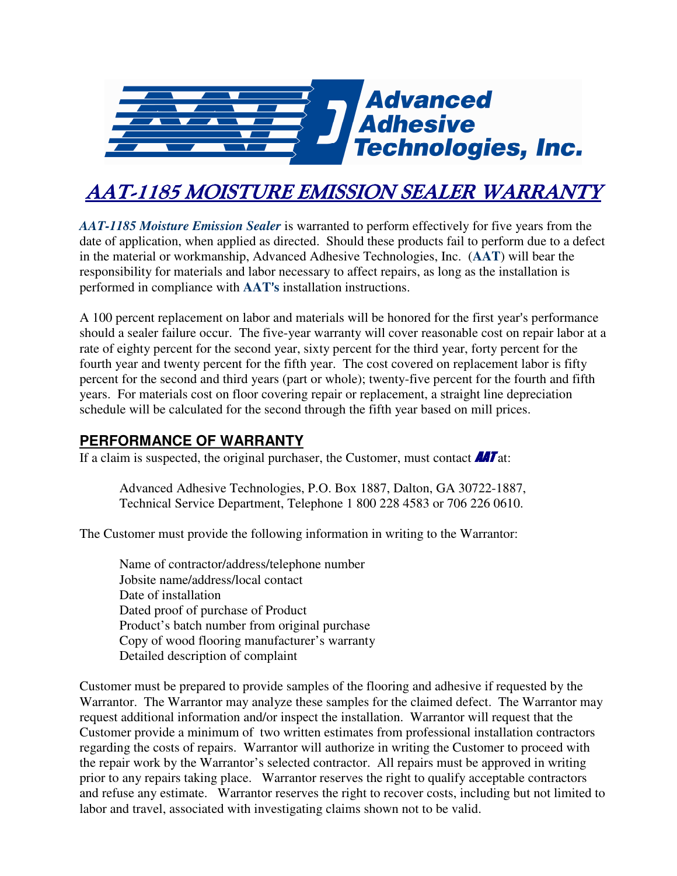

## **AAT-1185 MOISTURE EMISSION SEALER WARRANTY**

*AAT-1185 Moisture Emission Sealer* is warranted to perform effectively for five years from the date of application, when applied as directed. Should these products fail to perform due to a defect in the material or workmanship, Advanced Adhesive Technologies, Inc. (**AAT**) will bear the responsibility for materials and labor necessary to affect repairs, as long as the installation is performed in compliance with **AAT**'s installation instructions.

A 100 percent replacement on labor and materials will be honored for the first year's performance should a sealer failure occur. The five-year warranty will cover reasonable cost on repair labor at a rate of eighty percent for the second year, sixty percent for the third year, forty percent for the fourth year and twenty percent for the fifth year. The cost covered on replacement labor is fifty percent for the second and third years (part or whole); twenty-five percent for the fourth and fifth years. For materials cost on floor covering repair or replacement, a straight line depreciation schedule will be calculated for the second through the fifth year based on mill prices.

## **PERFORMANCE OF WARRANTY**

If a claim is suspected, the original purchaser, the Customer, must contact  $\mathbf{A}$ T at:

 Advanced Adhesive Technologies, P.O. Box 1887, Dalton, GA 30722-1887, Technical Service Department, Telephone 1 800 228 4583 or 706 226 0610.

The Customer must provide the following information in writing to the Warrantor:

 Name of contractor/address/telephone number Jobsite name/address/local contact Date of installation Dated proof of purchase of Product Product's batch number from original purchase Copy of wood flooring manufacturer's warranty Detailed description of complaint

Customer must be prepared to provide samples of the flooring and adhesive if requested by the Warrantor. The Warrantor may analyze these samples for the claimed defect. The Warrantor may request additional information and/or inspect the installation. Warrantor will request that the Customer provide a minimum of two written estimates from professional installation contractors regarding the costs of repairs. Warrantor will authorize in writing the Customer to proceed with the repair work by the Warrantor's selected contractor. All repairs must be approved in writing prior to any repairs taking place. Warrantor reserves the right to qualify acceptable contractors and refuse any estimate. Warrantor reserves the right to recover costs, including but not limited to labor and travel, associated with investigating claims shown not to be valid.